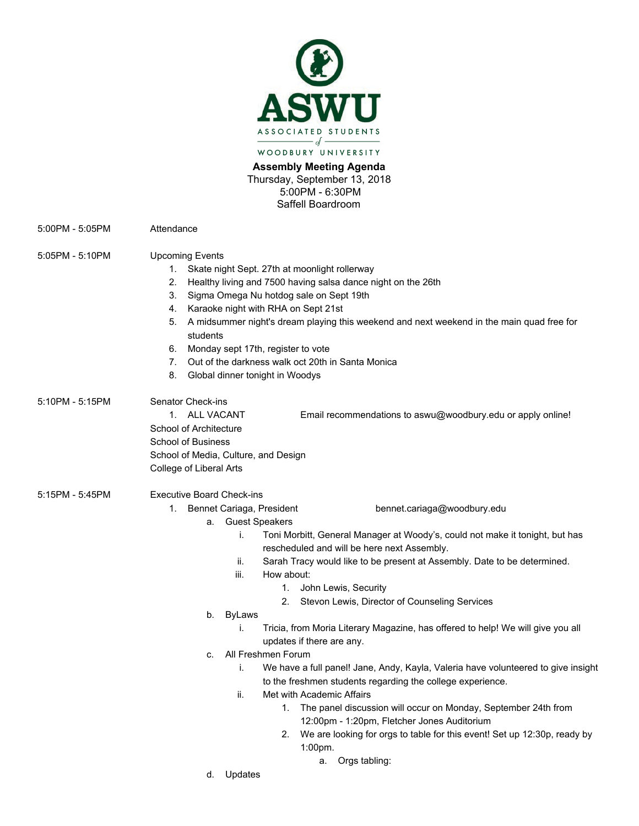

**Assembly Meeting Agenda**  Thursday, September 13, 2018 5:00PM - 6:30PM Saffell Boardroom

|                 | 5:00PM - 6:30PM<br>Saffell Boardroom                                                                                                                                                                                                                                                                                                                                                                                                                                                                                                                                                                                                                                                                                                                                                                                                                                                                                                                                                                                           |
|-----------------|--------------------------------------------------------------------------------------------------------------------------------------------------------------------------------------------------------------------------------------------------------------------------------------------------------------------------------------------------------------------------------------------------------------------------------------------------------------------------------------------------------------------------------------------------------------------------------------------------------------------------------------------------------------------------------------------------------------------------------------------------------------------------------------------------------------------------------------------------------------------------------------------------------------------------------------------------------------------------------------------------------------------------------|
| 5:00PM - 5:05PM | Attendance                                                                                                                                                                                                                                                                                                                                                                                                                                                                                                                                                                                                                                                                                                                                                                                                                                                                                                                                                                                                                     |
| 5:05PM - 5:10PM | <b>Upcoming Events</b><br>1. Skate night Sept. 27th at moonlight rollerway<br>Healthy living and 7500 having salsa dance night on the 26th<br>2.<br>Sigma Omega Nu hotdog sale on Sept 19th<br>3.<br>4. Karaoke night with RHA on Sept 21st<br>A midsummer night's dream playing this weekend and next weekend in the main quad free for<br>5.<br>students<br>Monday sept 17th, register to vote<br>6.<br>Out of the darkness walk oct 20th in Santa Monica<br>7.<br>8.<br>Global dinner tonight in Woodys                                                                                                                                                                                                                                                                                                                                                                                                                                                                                                                     |
| 5:10PM - 5:15PM | Senator Check-ins<br><b>ALL VACANT</b><br>Email recommendations to aswu@woodbury.edu or apply online!<br>1.<br>School of Architecture<br>School of Business<br>School of Media, Culture, and Design<br>College of Liberal Arts                                                                                                                                                                                                                                                                                                                                                                                                                                                                                                                                                                                                                                                                                                                                                                                                 |
| 5:15PM - 5:45PM | <b>Executive Board Check-ins</b><br>1. Bennet Cariaga, President<br>bennet.cariaga@woodbury.edu<br>a. Guest Speakers<br>Toni Morbitt, General Manager at Woody's, could not make it tonight, but has<br>İ.<br>rescheduled and will be here next Assembly.<br>Sarah Tracy would like to be present at Assembly. Date to be determined.<br>ii.<br>iii.<br>How about:<br>1. John Lewis, Security<br>2. Stevon Lewis, Director of Counseling Services<br>b. ByLaws<br>Tricia, from Moria Literary Magazine, has offered to help! We will give you all<br>İ.<br>updates if there are any.<br>All Freshmen Forum<br>C.<br>We have a full panel! Jane, Andy, Kayla, Valeria have volunteered to give insight<br>İ.<br>to the freshmen students regarding the college experience.<br>Met with Academic Affairs<br>ii.<br>1. The panel discussion will occur on Monday, September 24th from<br>12:00pm - 1:20pm, Fletcher Jones Auditorium<br>We are looking for orgs to table for this event! Set up 12:30p, ready by<br>2.<br>1:00pm. |
|                 | Orgs tabling:<br>а.<br>d.<br>Updates                                                                                                                                                                                                                                                                                                                                                                                                                                                                                                                                                                                                                                                                                                                                                                                                                                                                                                                                                                                           |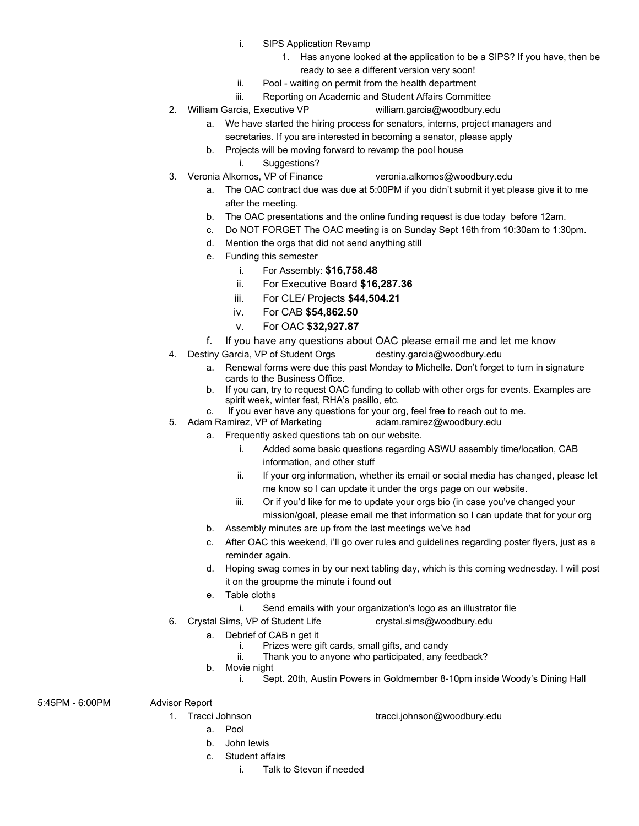- i. SIPS Application Revamp
	- 1. Has anyone looked at the application to be a SIPS? If you have, then be ready to see a different version very soon!
- ii. Pool waiting on permit from the health department
- iii. Reporting on Academic and Student Affairs Committee
- 2. William Garcia, Executive VP [william.garcia@woodbury.edu](mailto:william.garcia@woodbury.edu) 
	- a. We have started the hiring process for senators, interns, project managers and secretaries. If you are interested in becoming a senator, please apply
	- b. Projects will be moving forward to revamp the pool house
		- i. Suggestions?
- 3. Veronia Alkomos, VP of Finance [veronia.alkomos@woodbury.edu](mailto:veronia.alkomos@woodbury.edu)
	- a. The OAC contract due was due at 5:00PM if you didn't submit it yet please give it to me after the meeting.
	- b. The OAC presentations and the online funding request is due today before 12am.
	- c. Do NOT FORGET The OAC meeting is on Sunday Sept 16th from 10:30am to 1:30pm.
	- d. Mention the orgs that did not send anything still
	- e. Funding this semester
		- i. For Assembly: **\$16,758.48**
		- ii. For Executive Board **\$16,287.36**
		- iii. For CLE/ Projects **\$44,504.21**
		- iv. For CAB **\$54,862.50**
		- v. For OAC **\$32,927.87**
	- f. If you have any questions about OAC please email me and let me know
- 4. Destiny Garcia, VP of Student Orgs destiny.garcia@woodbury.edu
	- a. Renewal forms were due this past Monday to Michelle. Don't forget to turn in signature cards to the Business Office.
	- b. If you can, try to request OAC funding to collab with other orgs for events. Examples are spirit week, winter fest, RHA's pasillo, etc.
	- c. If you ever have any questions for your org, feel free to reach out to me.<br>m Ramirez, VP of Marketing exameriand metal of metal and ready adam.ramirez@woodbury.edu
- 5. Adam Ramirez, VP of Marketing
	- a. Frequently asked questions tab on our website.
		- i. Added some basic questions regarding ASWU assembly time/location, CAB information, and other stuff
		- ii. If your org information, whether its email or social media has changed, please let me know so I can update it under the orgs page on our website.
		- iii. Or if you'd like for me to update your orgs bio (in case you've changed your mission/goal, please email me that information so I can update that for your org
	- b. Assembly minutes are up from the last meetings we've had
	- c. After OAC this weekend, i'll go over rules and guidelines regarding poster flyers, just as a reminder again.
	- d. Hoping swag comes in by our next tabling day, which is this coming wednesday. I will post it on the groupme the minute i found out
	- e. Table cloths
		- i. Send emails with your organization's logo as an illustrator file
- 6. Crystal Sims, VP of Student Life [crystal.sims@woodbury.edu](mailto:crystal.sims@woodbury.edu)
	- a. Debrief of CAB n get it
		- i. Prizes were gift cards, small gifts, and candy<br>ii. Thank you to anyone who participated, any fe
		- Thank you to anyone who participated, any feedback?
		- b. Movie night
			- i. Sept. 20th, Austin Powers in Goldmember 8-10pm inside Woody's Dining Hall

5:45PM - 6:00PM Advisor Report

- 
- 1. Tracci Johnson tracci.johnson@woodbury.edu
	- a. Pool
	- b. John lewis
	- c. Student affairs
		- i. Talk to Stevon if needed